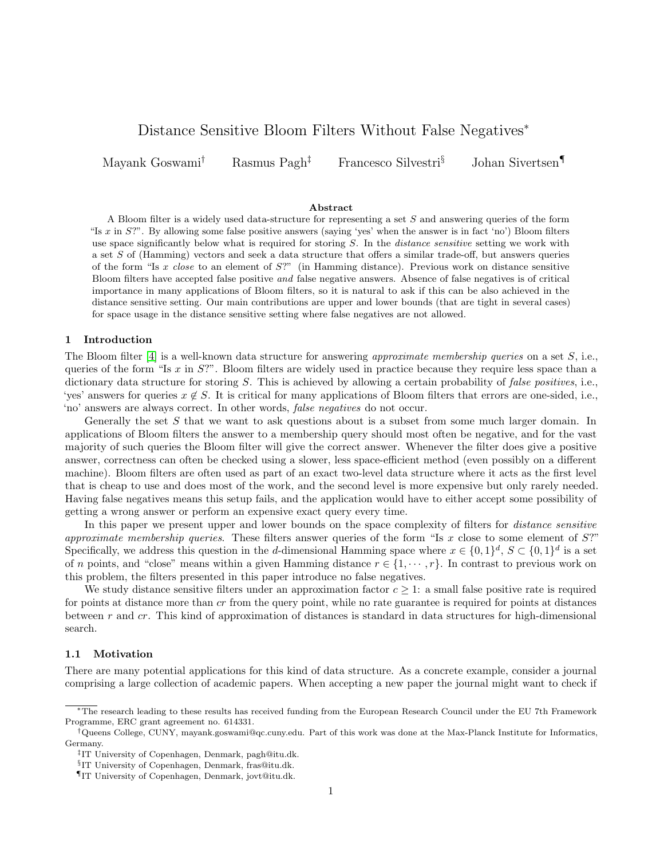# Distance Sensitive Bloom Filters Without False Negatives<sup>∗</sup>

Mayank Goswami† Rasmus Pagh‡ Francesco Silvestri§ Johan Sivertsen¶

### Abstract

A Bloom filter is a widely used data-structure for representing a set S and answering queries of the form "Is  $x$  in  $S$ ?". By allowing some false positive answers (saying 'yes' when the answer is in fact 'no') Bloom filters use space significantly below what is required for storing  $S$ . In the *distance sensitive* setting we work with a set S of (Hamming) vectors and seek a data structure that offers a similar trade-off, but answers queries of the form "Is x close to an element of S?" (in Hamming distance). Previous work on distance sensitive Bloom filters have accepted false positive and false negative answers. Absence of false negatives is of critical importance in many applications of Bloom filters, so it is natural to ask if this can be also achieved in the distance sensitive setting. Our main contributions are upper and lower bounds (that are tight in several cases) for space usage in the distance sensitive setting where false negatives are not allowed.

#### 1 Introduction

The Bloom filter [\[4\]](#page-15-0) is a well-known data structure for answering approximate membership queries on a set  $S$ , i.e., queries of the form "Is x in  $S$ ?". Bloom filters are widely used in practice because they require less space than a dictionary data structure for storing S. This is achieved by allowing a certain probability of false positives, i.e., 'yes' answers for queries  $x \notin S$ . It is critical for many applications of Bloom filters that errors are one-sided, i.e., 'no' answers are always correct. In other words, false negatives do not occur.

Generally the set S that we want to ask questions about is a subset from some much larger domain. In applications of Bloom filters the answer to a membership query should most often be negative, and for the vast majority of such queries the Bloom filter will give the correct answer. Whenever the filter does give a positive answer, correctness can often be checked using a slower, less space-efficient method (even possibly on a different machine). Bloom filters are often used as part of an exact two-level data structure where it acts as the first level that is cheap to use and does most of the work, and the second level is more expensive but only rarely needed. Having false negatives means this setup fails, and the application would have to either accept some possibility of getting a wrong answer or perform an expensive exact query every time.

In this paper we present upper and lower bounds on the space complexity of filters for *distance sensitive* approximate membership queries. These filters answer queries of the form "Is x close to some element of  $S$ ?" Specifically, we address this question in the d-dimensional Hamming space where  $x \in \{0,1\}^d$ ,  $S \subset \{0,1\}^d$  is a set of n points, and "close" means within a given Hamming distance  $r \in \{1, \dots, r\}$ . In contrast to previous work on this problem, the filters presented in this paper introduce no false negatives.

We study distance sensitive filters under an approximation factor  $c \geq 1$ : a small false positive rate is required for points at distance more than cr from the query point, while no rate guarantee is required for points at distances between r and cr. This kind of approximation of distances is standard in data structures for high-dimensional search.

# 1.1 Motivation

There are many potential applications for this kind of data structure. As a concrete example, consider a journal comprising a large collection of academic papers. When accepting a new paper the journal might want to check if

<sup>∗</sup>The research leading to these results has received funding from the European Research Council under the EU 7th Framework Programme, ERC grant agreement no. 614331.

<sup>†</sup>Queens College, CUNY, mayank.goswami@qc.cuny.edu. Part of this work was done at the Max-Planck Institute for Informatics, Germany.

<sup>‡</sup> IT University of Copenhagen, Denmark, pagh@itu.dk.

<sup>§</sup> IT University of Copenhagen, Denmark, fras@itu.dk.

<sup>¶</sup>IT University of Copenhagen, Denmark, jovt@itu.dk.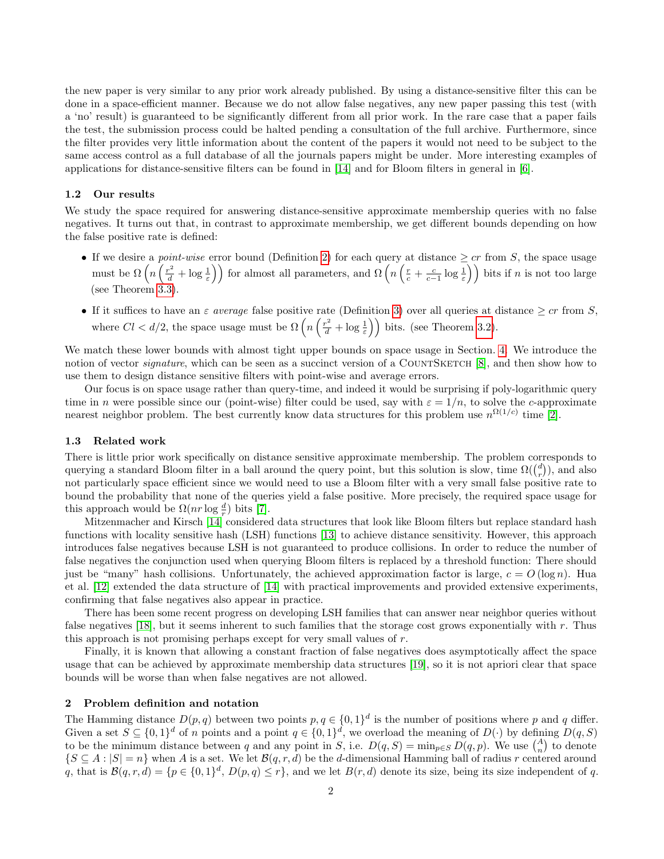the new paper is very similar to any prior work already published. By using a distance-sensitive filter this can be done in a space-efficient manner. Because we do not allow false negatives, any new paper passing this test (with a 'no' result) is guaranteed to be significantly different from all prior work. In the rare case that a paper fails the test, the submission process could be halted pending a consultation of the full archive. Furthermore, since the filter provides very little information about the content of the papers it would not need to be subject to the same access control as a full database of all the journals papers might be under. More interesting examples of applications for distance-sensitive filters can be found in [\[14\]](#page-15-1) and for Bloom filters in general in [\[6\]](#page-15-2).

#### 1.2 Our results

We study the space required for answering distance-sensitive approximate membership queries with no false negatives. It turns out that, in contrast to approximate membership, we get different bounds depending on how the false positive rate is defined:

- If we desire a *point-wise* error bound (Definition [2\)](#page-2-0) for each query at distance  $\geq cr$  from S, the space usage must be  $\Omega\left(n\left(\frac{r^2}{d}+\log\frac{1}{\varepsilon}\right)\right)$  for almost all parameters, and  $\Omega\left(n\left(\frac{r}{c}+\frac{c}{c-1}\log\frac{1}{\varepsilon}\right)\right)$  bits if n is not too large (see Theorem [3.3\)](#page-5-0).
- If it suffices to have an  $\varepsilon$  average false positive rate (Definition [3\)](#page-2-1) over all queries at distance  $\geq cr$  from S, where  $Cl < d/2$ , the space usage must be  $\Omega\left(n\left(\frac{r^2}{d} + \log \frac{1}{\varepsilon}\right)\right)$  bits. (see Theorem [3.2\)](#page-3-0).

We match these lower bounds with almost tight upper bounds on space usage in Section. [4.](#page-7-0) We introduce the notion of vector *signature*, which can be seen as a succinct version of a COUNTSKETCH [\[8\]](#page-15-3), and then show how to use them to design distance sensitive filters with point-wise and average errors.

Our focus is on space usage rather than query-time, and indeed it would be surprising if poly-logarithmic query time in n were possible since our (point-wise) filter could be used, say with  $\varepsilon = 1/n$ , to solve the c-approximate nearest neighbor problem. The best currently know data structures for this problem use  $n^{\Omega(1/c)}$  time [\[2\]](#page-15-4).

#### 1.3 Related work

There is little prior work specifically on distance sensitive approximate membership. The problem corresponds to querying a standard Bloom filter in a ball around the query point, but this solution is slow, time  $\Omega(\binom{d}{r})$ , and also not particularly space efficient since we would need to use a Bloom filter with a very small false positive rate to bound the probability that none of the queries yield a false positive. More precisely, the required space usage for this approach would be  $\Omega(nr \log \frac{d}{r})$  bits [\[7\]](#page-15-5).

Mitzenmacher and Kirsch [\[14\]](#page-15-1) considered data structures that look like Bloom filters but replace standard hash functions with locality sensitive hash (LSH) functions [\[13\]](#page-15-6) to achieve distance sensitivity. However, this approach introduces false negatives because LSH is not guaranteed to produce collisions. In order to reduce the number of false negatives the conjunction used when querying Bloom filters is replaced by a threshold function: There should just be "many" hash collisions. Unfortunately, the achieved approximation factor is large,  $c = O(\log n)$ . Hua et al. [\[12\]](#page-15-7) extended the data structure of [\[14\]](#page-15-1) with practical improvements and provided extensive experiments, confirming that false negatives also appear in practice.

There has been some recent progress on developing LSH families that can answer near neighbor queries without false negatives [\[18\]](#page-15-8), but it seems inherent to such families that the storage cost grows exponentially with r. Thus this approach is not promising perhaps except for very small values of r.

Finally, it is known that allowing a constant fraction of false negatives does asymptotically affect the space usage that can be achieved by approximate membership data structures [\[19\]](#page-15-9), so it is not apriori clear that space bounds will be worse than when false negatives are not allowed.

# 2 Problem definition and notation

The Hamming distance  $D(p, q)$  between two points  $p, q \in \{0, 1\}^d$  is the number of positions where p and q differ. Given a set  $S \subseteq \{0,1\}^d$  of n points and a point  $q \in \{0,1\}^d$ , we overload the meaning of  $D(\cdot)$  by defining  $D(q, S)$ to be the minimum distance between q and any point in S, i.e.  $D(q, S) = \min_{p \in S} D(q, p)$ . We use  $\binom{A}{n}$  to denote  $\{S \subseteq A : |S| = n\}$  when A is a set. We let  $\mathcal{B}(q, r, d)$  be the d-dimensional Hamming ball of radius r centered around q, that is  $\mathcal{B}(q,r,d) = \{p \in \{0,1\}^d, D(p,q) \leq r\}$ , and we let  $B(r,d)$  denote its size, being its size independent of q.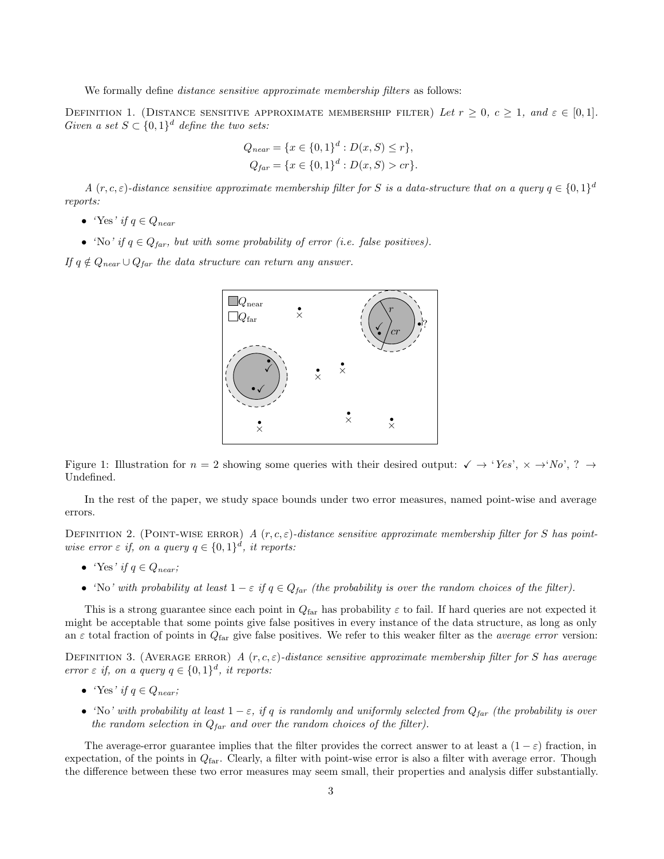We formally define *distance sensitive approximate membership filters* as follows:

DEFINITION 1. (DISTANCE SENSITIVE APPROXIMATE MEMBERSHIP FILTER) Let  $r \geq 0$ ,  $c \geq 1$ , and  $\varepsilon \in [0,1]$ . Given a set  $S \subset \{0,1\}^d$  define the two sets:

$$
Q_{near} = \{x \in \{0, 1\}^d : D(x, S) \le r\},
$$
  

$$
Q_{far} = \{x \in \{0, 1\}^d : D(x, S) > cr\}.
$$

A  $(r, c, \varepsilon)$ -distance sensitive approximate membership filter for S is a data-structure that on a query  $q \in \{0, 1\}^d$ reports:

- 'Yes' if  $q \in Q_{near}$
- 'No' if  $q \in Q_{far}$ , but with some probability of error (i.e. false positives).

If  $q \notin Q_{near} \cup Q_{far}$  the data structure can return any answer.



Figure 1: Illustration for  $n = 2$  showing some queries with their desired output:  $\checkmark \rightarrow 'Yes', \checkmark \rightarrow 'No', ? \rightarrow$ Undefined.

In the rest of the paper, we study space bounds under two error measures, named point-wise and average errors.

<span id="page-2-0"></span>DEFINITION 2. (POINT-WISE ERROR) A  $(r, c, \varepsilon)$ -distance sensitive approximate membership filter for S has pointwise error  $\varepsilon$  if, on a query  $q \in \{0,1\}^d$ , it reports:

- 'Yes' if  $q \in Q_{near}$ ;
- 'No' with probability at least  $1 \varepsilon$  if  $q \in Q_{far}$  (the probability is over the random choices of the filter).

This is a strong guarantee since each point in  $Q_{\text{far}}$  has probability  $\varepsilon$  to fail. If hard queries are not expected it might be acceptable that some points give false positives in every instance of the data structure, as long as only an  $\varepsilon$  total fraction of points in  $Q_{\text{far}}$  give false positives. We refer to this weaker filter as the *average error* version:

<span id="page-2-1"></span>DEFINITION 3. (AVERAGE ERROR) A  $(r, c, \varepsilon)$ -distance sensitive approximate membership filter for S has average error  $\varepsilon$  if, on a query  $q \in \{0,1\}^d$ , it reports:

- 'Yes' if  $q \in Q_{near}$ ;
- 'No' with probability at least  $1 \varepsilon$ , if q is randomly and uniformly selected from  $Q_{far}$  (the probability is over the random selection in  $Q_{\text{far}}$  and over the random choices of the filter).

The average-error guarantee implies that the filter provides the correct answer to at least a  $(1 - \varepsilon)$  fraction, in expectation, of the points in  $Q_{\text{far}}$ . Clearly, a filter with point-wise error is also a filter with average error. Though the difference between these two error measures may seem small, their properties and analysis differ substantially.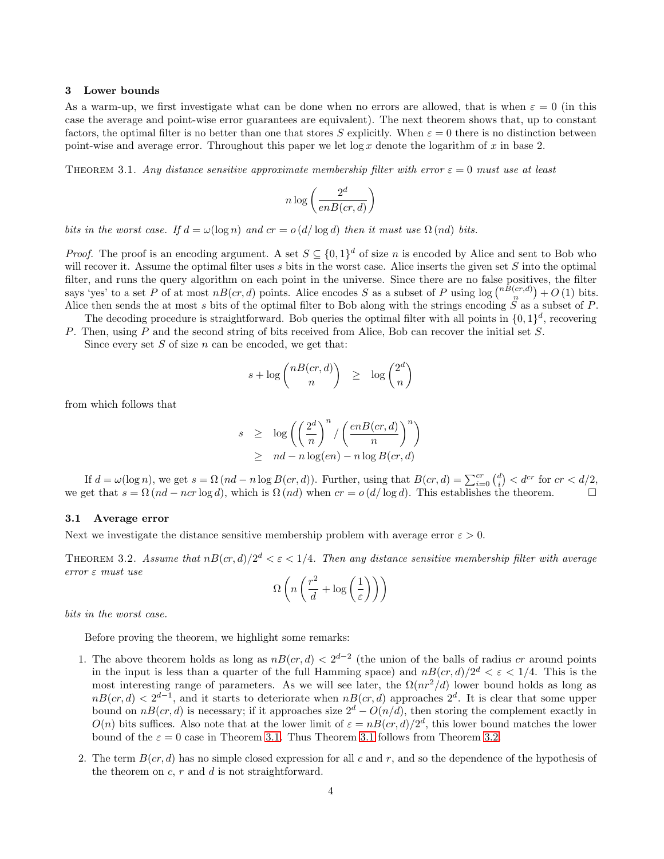#### 3 Lower bounds

As a warm-up, we first investigate what can be done when no errors are allowed, that is when  $\varepsilon = 0$  (in this case the average and point-wise error guarantees are equivalent). The next theorem shows that, up to constant factors, the optimal filter is no better than one that stores S explicitly. When  $\varepsilon = 0$  there is no distinction between point-wise and average error. Throughout this paper we let  $\log x$  denote the logarithm of x in base 2.

<span id="page-3-1"></span>THEOREM 3.1. Any distance sensitive approximate membership filter with error  $\varepsilon = 0$  must use at least

$$
n \log \left( \frac{2^d}{enB (cr,d)} \right)
$$

bits in the worst case. If  $d = \omega(\log n)$  and  $cr = o(d/\log d)$  then it must use  $\Omega(nd)$  bits.

*Proof.* The proof is an encoding argument. A set  $S \subseteq \{0,1\}^d$  of size n is encoded by Alice and sent to Bob who will recover it. Assume the optimal filter uses s bits in the worst case. Alice inserts the given set  $S$  into the optimal filter, and runs the query algorithm on each point in the universe. Since there are no false positives, the filter says 'yes' to a set P of at most  $nB(cx, d)$  points. Alice encodes S as a subset of P using  $\log {nB(cx, d) \choose n} + O(1)$  bits. Alice then sends the at most s bits of the optimal filter to Bob along with the strings encoding  $\tilde{S}$  as a subset of P.

The decoding procedure is straightforward. Bob queries the optimal filter with all points in  $\{0,1\}^d$ , recovering P. Then, using P and the second string of bits received from Alice, Bob can recover the initial set S.

Since every set  $S$  of size  $n$  can be encoded, we get that:

$$
s + \log \binom{nB(c r, d)}{n} \ge \log \binom{2^d}{n}
$$

from which follows that

$$
s \ge \log \left( \left( \frac{2^d}{n} \right)^n / \left( \frac{enB(cr, d)}{n} \right)^n \right) \ge nd - n \log(en) - n \log B(cr, d)
$$

If  $d = \omega(\log n)$ , we get  $s = \Omega(nd - n \log B(cr, d))$ . Further, using that  $B(cr, d) = \sum_{i=0}^{cr} {d \choose i} < d^{cr}$  for  $cr < d/2$ , we get that  $s = \Omega(nd - ncr \log d)$ , which is  $\Omega(nd)$  when  $cr = o(d/\log d)$ . This establishes the theorem.

# 3.1 Average error

<span id="page-3-0"></span>Next we investigate the distance sensitive membership problem with average error  $\varepsilon > 0$ .

THEOREM 3.2. Assume that  $nB-cr, d)/2^d < \varepsilon < 1/4$ . Then any distance sensitive membership filter with average error ε must use

$$
\Omega\left(n\left(\frac{r^2}{d} + \log\left(\frac{1}{\varepsilon}\right)\right)\right)
$$

bits in the worst case.

Before proving the theorem, we highlight some remarks:

- 1. The above theorem holds as long as  $nB(cx, d) < 2^{d-2}$  (the union of the balls of radius cr around points in the input is less than a quarter of the full Hamming space) and  $nB(cx, d)/2<sup>d</sup> < \varepsilon < 1/4$ . This is the most interesting range of parameters. As we will see later, the  $\Omega(nr^2/d)$  lower bound holds as long as  $nB(cr, d) < 2^{d-1}$ , and it starts to deteriorate when  $nB(cr, d)$  approaches  $2^d$ . It is clear that some upper bound on  $nB(cr, d)$  is necessary; if it approaches size  $2^d - O(n/d)$ , then storing the complement exactly in  $O(n)$  bits suffices. Also note that at the lower limit of  $\varepsilon = nB(c, d)/2^d$ , this lower bound matches the lower bound of the  $\varepsilon = 0$  case in Theorem [3.1.](#page-3-1) Thus Theorem [3.1](#page-3-1) follows from Theorem [3.2.](#page-3-0)
- 2. The term  $B(cr, d)$  has no simple closed expression for all c and r, and so the dependence of the hypothesis of the theorem on  $c, r$  and  $d$  is not straightforward.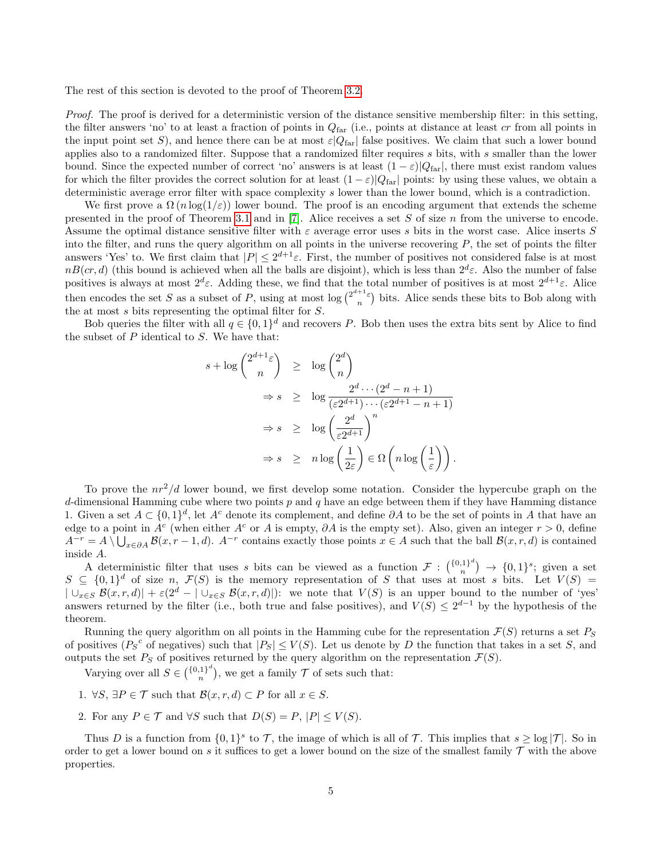The rest of this section is devoted to the proof of Theorem [3.2.](#page-3-0)

Proof. The proof is derived for a deterministic version of the distance sensitive membership filter: in this setting, the filter answers 'no' to at least a fraction of points in  $Q<sub>far</sub>$  (i.e., points at distance at least cr from all points in the input point set S), and hence there can be at most  $\varepsilon|Q_{\text{far}}|$  false positives. We claim that such a lower bound applies also to a randomized filter. Suppose that a randomized filter requires s bits, with s smaller than the lower bound. Since the expected number of correct 'no' answers is at least  $(1 - \varepsilon)|Q_{\text{far}}|$ , there must exist random values for which the filter provides the correct solution for at least  $(1 - \varepsilon)|Q_{far}|$  points: by using these values, we obtain a deterministic average error filter with space complexity s lower than the lower bound, which is a contradiction.

We first prove a  $\Omega(n \log(1/\varepsilon))$  lower bound. The proof is an encoding argument that extends the scheme presented in the proof of Theorem [3.1](#page-3-1) and in  $[7]$ . Alice receives a set S of size n from the universe to encode. Assume the optimal distance sensitive filter with  $\varepsilon$  average error uses s bits in the worst case. Alice inserts S into the filter, and runs the query algorithm on all points in the universe recovering  $P$ , the set of points the filter answers 'Yes' to. We first claim that  $|P| \leq 2^{d+1}\varepsilon$ . First, the number of positives not considered false is at most  $nB(cr, d)$  (this bound is achieved when all the balls are disjoint), which is less than  $2^d\varepsilon$ . Also the number of false positives is always at most  $2^d\varepsilon$ . Adding these, we find that the total number of positives is at most  $2^{d+1}\varepsilon$ . Alice then encodes the set S as a subset of P, using at most  $\log {2^{d+1} \varepsilon \choose n}$  bits. Alice sends these bits to Bob along with the at most s bits representing the optimal filter for S.

Bob queries the filter with all  $q \in \{0,1\}^d$  and recovers P. Bob then uses the extra bits sent by Alice to find the subset of  $P$  identical to  $S$ . We have that:

$$
s + \log {2^{d+1}\varepsilon \choose n} \ge \log {2^d \choose n}
$$
  
\n
$$
\Rightarrow s \ge \log \frac{2^d \cdots (2^d - n + 1)}{(\varepsilon 2^{d+1}) \cdots (\varepsilon 2^{d+1} - n + 1)}
$$
  
\n
$$
\Rightarrow s \ge \log \left(\frac{2^d}{\varepsilon 2^{d+1}}\right)^n
$$
  
\n
$$
\Rightarrow s \ge n \log \left(\frac{1}{2\varepsilon}\right) \in \Omega \left(n \log \left(\frac{1}{\varepsilon}\right)\right).
$$

To prove the  $nr^2/d$  lower bound, we first develop some notation. Consider the hypercube graph on the d-dimensional Hamming cube where two points  $p$  and  $q$  have an edge between them if they have Hamming distance 1. Given a set  $A \subset \{0,1\}^d$ , let A<sup>c</sup> denote its complement, and define ∂A to be the set of points in A that have an edge to a point in  $A^c$  (when either  $A^c$  or A is empty,  $\partial A$  is the empty set). Also, given an integer  $r > 0$ , define  $A^{-r} = A \setminus \bigcup_{x \in \partial A} \mathcal{B}(x, r-1, d)$ .  $A^{-r}$  contains exactly those points  $x \in A$  such that the ball  $\mathcal{B}(x, r, d)$  is contained inside A.

A deterministic filter that uses s bits can be viewed as a function  $\mathcal{F} : \binom{\{0,1\}^d}{n}$  ${n,1}^n \rightarrow \{0,1\}^s$ ; given a set  $S \subseteq \{0,1\}^d$  of size n,  $\mathcal{F}(S)$  is the memory representation of S that uses at most s bits. Let  $V(S)$  =  $|\bigcup_{x\in S} \mathcal{B}(x,r,d)| + \varepsilon(2^d - |\bigcup_{x\in S} \mathcal{B}(x,r,d)|)$ : we note that  $V(S)$  is an upper bound to the number of 'yes' answers returned by the filter (i.e., both true and false positives), and  $V(S) \leq 2^{d-1}$  by the hypothesis of the theorem.

Running the query algorithm on all points in the Hamming cube for the representation  $\mathcal{F}(S)$  returns a set  $P_S$ of positives  $(P_S^c$  of negatives) such that  $|P_S| \leq V(S)$ . Let us denote by D the function that takes in a set S, and outputs the set  $P_S$  of positives returned by the query algorithm on the representation  $\mathcal{F}(S)$ .

Varying over all  $S \in {\binom{{0,1}^d}{n}}$  $\binom{1}{n}$ , we get a family  $\mathcal T$  of sets such that:

- 1.  $\forall S, \exists P \in \mathcal{T}$  such that  $\mathcal{B}(x, r, d) \subset P$  for all  $x \in S$ .
- 2. For any  $P \in \mathcal{T}$  and  $\forall S$  such that  $D(S) = P$ ,  $|P| \leq V(S)$ .

Thus D is a function from  $\{0,1\}^s$  to T, the image of which is all of T. This implies that  $s \geq \log |\mathcal{T}|$ . So in order to get a lower bound on s it suffices to get a lower bound on the size of the smallest family  $\mathcal T$  with the above properties.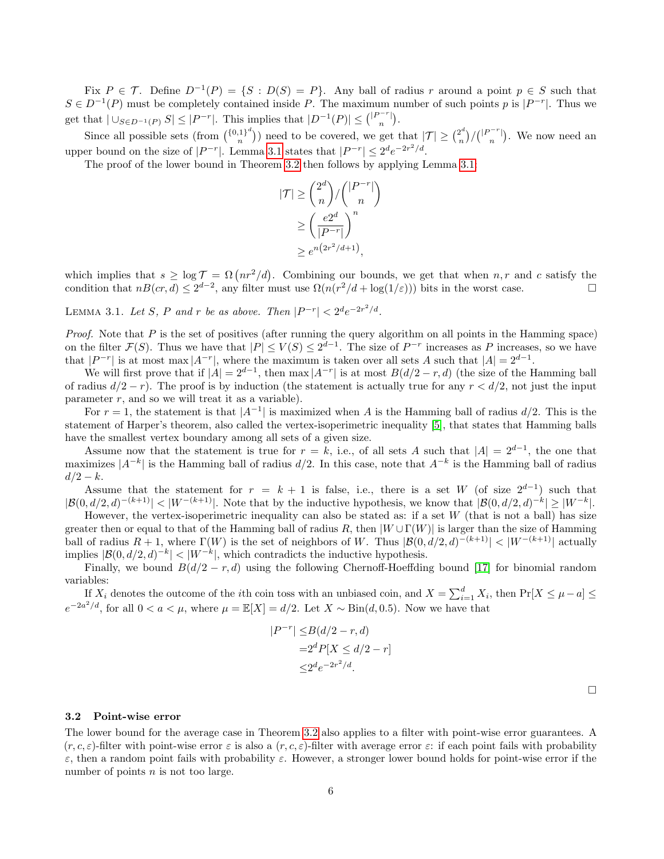Fix  $P \in \mathcal{T}$ . Define  $D^{-1}(P) = \{S : D(S) = P\}$ . Any ball of radius r around a point  $p \in S$  such that  $S \in D^{-1}(P)$  must be completely contained inside P. The maximum number of such points p is  $|P^{-r}|$ . Thus we get that  $|\bigcup_{S\in D^{-1}(P)} S| \leq |P^{-r}|$ . This implies that  $|D^{-1}(P)| \leq { |P^{-r}| \choose n}$ .

Since all possible sets (from  $\binom{\{0,1\}^d}{n}$  $\binom{n}{n}^{1}$ ) need to be covered, we get that  $|\mathcal{T}| \geq \binom{2^d}{n}$  $\binom{n}{n} / \binom{|P^{-r}|}{n}$ . We now need an upper bound on the size of  $|P^{-r}|$ . Lemma [3.1](#page-5-1) states that  $|P^{-r}| \leq 2^d e^{-2r^2/d}$ .

The proof of the lower bound in Theorem [3.2](#page-3-0) then follows by applying Lemma [3.1:](#page-5-1)

$$
|\mathcal{T}| \ge \binom{2^d}{n} / \binom{|P^{-r}|}{n}
$$

$$
\ge \left(\frac{e2^d}{|P^{-r}|}\right)^n
$$

$$
\ge e^{n(2r^2/d+1)},
$$

which implies that  $s \geq \log T = \Omega(nr^2/d)$ . Combining our bounds, we get that when  $n, r$  and c satisfy the condition that  $n(x,d) \leq 2^{d-2}$ , any filter must use  $\Omega(n(r^2/d + \log(1/\varepsilon)))$  bits in the worst case.

<span id="page-5-1"></span>LEMMA 3.1. Let S, P and r be as above. Then  $|P^{-r}| < 2^d e^{-2r^2/d}$ .

*Proof.* Note that  $P$  is the set of positives (after running the query algorithm on all points in the Hamming space) on the filter  $\mathcal{F}(S)$ . Thus we have that  $|P| \leq V(S) \leq 2^{d-1}$ . The size of  $P^{-r}$  increases as P increases, so we have that  $|P^{-r}|$  is at most max  $|A^{-r}|$ , where the maximum is taken over all sets A such that  $|A| = 2^{d-1}$ .

We will first prove that if  $|A| = 2^{d-1}$ , then max  $|A^{-r}|$  is at most  $B(d/2 - r, d)$  (the size of the Hamming ball of radius  $d/2 - r$ ). The proof is by induction (the statement is actually true for any  $r < d/2$ , not just the input parameter  $r$ , and so we will treat it as a variable).

For  $r = 1$ , the statement is that  $|A^{-1}|$  is maximized when A is the Hamming ball of radius  $d/2$ . This is the statement of Harper's theorem, also called the vertex-isoperimetric inequality [\[5\]](#page-15-10), that states that Hamming balls have the smallest vertex boundary among all sets of a given size.

Assume now that the statement is true for  $r = k$ , i.e., of all sets A such that  $|A| = 2^{d-1}$ , the one that maximizes  $|A^{-k}|$  is the Hamming ball of radius  $d/2$ . In this case, note that  $A^{-k}$  is the Hamming ball of radius  $d/2 - k$ .

Assume that the statement for  $r = k + 1$  is false, i.e., there is a set W (of size  $2^{d-1}$ ) such that  $|\mathcal{B}(0, d/2, d)^{-(k+1)}| < |W^{-(k+1)}|$ . Note that by the inductive hypothesis, we know that  $|\mathcal{B}(0, d/2, d)^{-k}| \geq |W^{-k}|$ .

However, the vertex-isoperimetric inequality can also be stated as: if a set  $W$  (that is not a ball) has size greater then or equal to that of the Hamming ball of radius R, then  $|W \cup \Gamma(W)|$  is larger than the size of Hamming ball of radius  $R + 1$ , where  $\Gamma(W)$  is the set of neighbors of W. Thus  $|\mathcal{B}(0, d/2, d)^{-(k+1)}| < |W^{-(k+1)}|$  actually implies  $|\mathcal{B}(0, d/2, d)^{-k}| < |W^{-k}|$ , which contradicts the inductive hypothesis.

Finally, we bound  $B(d/2 - r, d)$  using the following Chernoff-Hoeffding bound [\[17\]](#page-15-11) for binomial random variables:

If  $X_i$  denotes the outcome of the *i*th coin toss with an unbiased coin, and  $X = \sum_{i=1}^d X_i$ , then  $Pr[X \leq \mu - a] \leq$  $e^{-2a^2/d}$ , for all  $0 < a < \mu$ , where  $\mu = \mathbb{E}[X] = d/2$ . Let  $X \sim Bin(d, 0.5)$ . Now we have that

$$
|P^{-r}| \leq B(d/2 - r, d)
$$
  
=  $2^d P[X \leq d/2 - r]$   

$$
\leq 2^d e^{-2r^2/d}.
$$

# 3.2 Point-wise error

<span id="page-5-0"></span>The lower bound for the average case in Theorem [3.2](#page-3-0) also applies to a filter with point-wise error guarantees. A  $(r, c, \varepsilon)$ -filter with point-wise error  $\varepsilon$  is also a  $(r, c, \varepsilon)$ -filter with average error  $\varepsilon$ : if each point fails with probability ε, then a random point fails with probability ε. However, a stronger lower bound holds for point-wise error if the number of points  $n$  is not too large.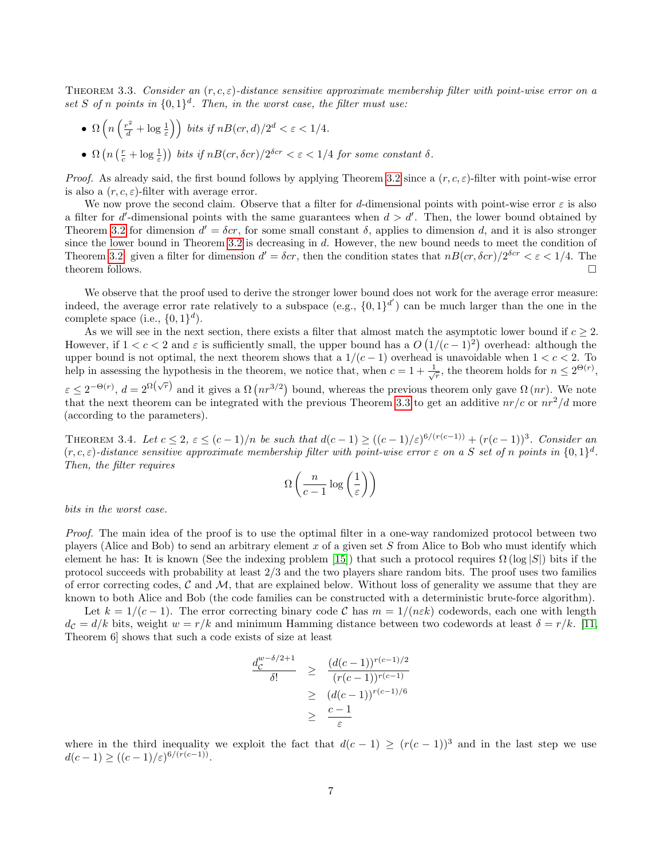THEOREM 3.3. Consider an  $(r, c, \varepsilon)$ -distance sensitive approximate membership filter with point-wise error on a set S of n points in  $\{0,1\}^d$ . Then, in the worst case, the filter must use:

- $\Omega\left(n\left(\frac{r^2}{d}+\log\frac{1}{\varepsilon}\right)\right)$  bits if  $nB-cr, d)/2^d < \varepsilon < 1/4$ .
- $\Omega\left(n\left(\frac{r}{c}+\log\frac{1}{\varepsilon}\right)\right)$  bits if  $nB(cr,\delta cr)/2^{\delta cr} < \varepsilon < 1/4$  for some constant  $\delta$ .

*Proof.* As already said, the first bound follows by applying Theorem [3.2](#page-3-0) since a  $(r, c, \varepsilon)$ -filter with point-wise error is also a  $(r, c, \varepsilon)$ -filter with average error.

We now prove the second claim. Observe that a filter for d-dimensional points with point-wise error  $\varepsilon$  is also a filter for d'-dimensional points with the same guarantees when  $d > d'$ . Then, the lower bound obtained by Theorem [3.2](#page-3-0) for dimension  $d' = \delta cr$ , for some small constant  $\delta$ , applies to dimension d, and it is also stronger since the lower bound in Theorem [3.2](#page-3-0) is decreasing in d. However, the new bound needs to meet the condition of Theorem [3.2:](#page-3-0) given a filter for dimension  $d' = \delta cr$ , then the condition states that  $nB-cr, \delta cr$  /2<sup> $\delta cr$ </sup> <  $\varepsilon$  < 1/4. The theorem follows.  $\Box$ 

We observe that the proof used to derive the stronger lower bound does not work for the average error measure: indeed, the average error rate relatively to a subspace (e.g.,  $\{0,1\}^{d'}$ ) can be much larger than the one in the complete space (i.e.,  $\{0,1\}^d$ ).

As we will see in the next section, there exists a filter that almost match the asymptotic lower bound if  $c \geq 2$ . However, if  $1 < c < 2$  and  $\varepsilon$  is sufficiently small, the upper bound has a  $O(1/(c-1)^2)$  overhead: although the upper bound is not optimal, the next theorem shows that a  $1/(c-1)$  overhead is unavoidable when  $1 < c < 2$ . To help in assessing the hypothesis in the theorem, we notice that, when  $c = 1 + \frac{1}{\sqrt{r}}$ , the theorem holds for  $n \leq 2^{\Theta(r)}$ ,

 $\varepsilon \leq 2^{-\Theta(r)}$ ,  $d = 2^{\Omega(\sqrt{r})}$  and it gives a  $\Omega(nr^{3/2})$  bound, whereas the previous theorem only gave  $\Omega(nr)$ . We note that the next theorem can be integrated with the previous Theorem [3.3](#page-5-0) to get an additive  $nr/c$  or  $nr^2/d$  more (according to the parameters).

THEOREM 3.4. Let  $c \leq 2$ ,  $\varepsilon \leq (c-1)/n$  be such that  $d(c-1) \geq ((c-1)/\varepsilon)^{6/(r(c-1))} + (r(c-1))^3$ . Consider an  $(r, c, \varepsilon)$ -distance sensitive approximate membership filter with point-wise error  $\varepsilon$  on a S set of n points in  $\{0, 1\}^d$ . Then, the filter requires

$$
\Omega\left(\frac{n}{c-1}\log\left(\frac{1}{\varepsilon}\right)\right)
$$

bits in the worst case.

Proof. The main idea of the proof is to use the optimal filter in a one-way randomized protocol between two players (Alice and Bob) to send an arbitrary element x of a given set S from Alice to Bob who must identify which element he has: It is known (See the indexing problem [\[15\]](#page-15-12)) that such a protocol requires  $\Omega$  (log |S|) bits if the protocol succeeds with probability at least 2/3 and the two players share random bits. The proof uses two families of error correcting codes,  $\mathcal C$  and  $\mathcal M$ , that are explained below. Without loss of generality we assume that they are known to both Alice and Bob (the code families can be constructed with a deterministic brute-force algorithm).

Let  $k = 1/(c-1)$ . The error correcting binary code C has  $m = 1/(n \varepsilon k)$  codewords, each one with length  $d_{\mathcal{C}} = d/k$  bits, weight  $w = r/k$  and minimum Hamming distance between two codewords at least  $\delta = r/k$ . [\[11,](#page-15-13) Theorem 6] shows that such a code exists of size at least

$$
\frac{d_{\mathcal{C}}^{w-\delta/2+1}}{\delta!} \geq \frac{(d(c-1))^{r(c-1)/2}}{(r(c-1))^{r(c-1)}}
$$

$$
\geq (d(c-1))^{r(c-1)/6}
$$

$$
\geq \frac{c-1}{\varepsilon}
$$

where in the third inequality we exploit the fact that  $d(c-1) \ge (r(c-1))^3$  and in the last step we use  $d(c-1) \ge ((c-1)/\varepsilon)^{6/(r(c-1))}.$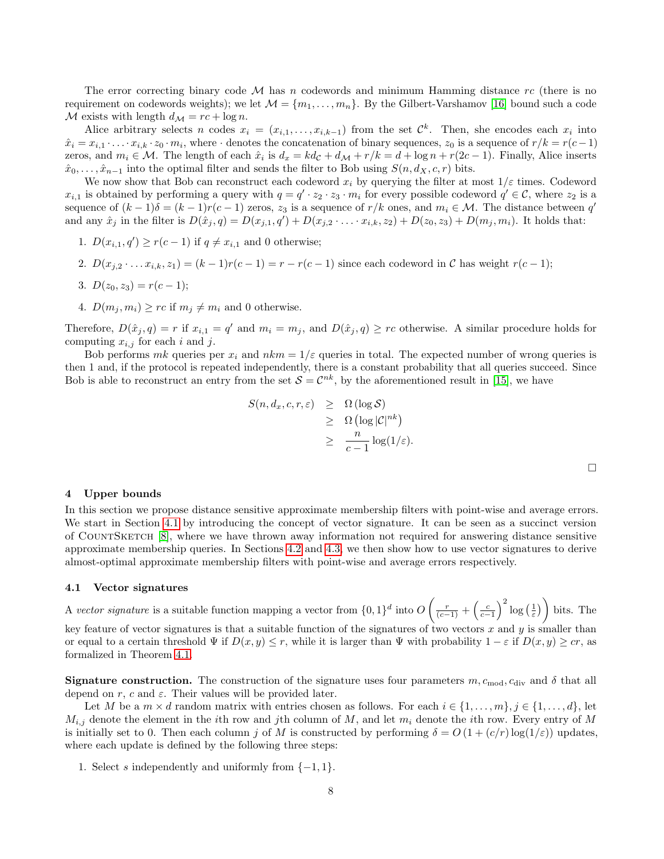The error correcting binary code  $\mathcal M$  has n codewords and minimum Hamming distance rc (there is no requirement on codewords weights); we let  $\mathcal{M} = \{m_1, \ldots, m_n\}$ . By the Gilbert-Varshamov [\[16\]](#page-15-14) bound such a code M exists with length  $d_{\mathcal{M}} = rc + \log n$ .

Alice arbitrary selects n codes  $x_i = (x_{i,1}, \ldots, x_{i,k-1})$  from the set  $\mathcal{C}^k$ . Then, she encodes each  $x_i$  into  $\hat{x}_i = x_{i,1} \cdot \ldots \cdot x_{i,k} \cdot z_0 \cdot m_i$ , where  $\cdot$  denotes the concatenation of binary sequences,  $z_0$  is a sequence of  $r/k = r(c-1)$ zeros, and  $m_i \in \mathcal{M}$ . The length of each  $\hat{x}_i$  is  $d_x = kd_c + d_{\mathcal{M}} + r/k = d + \log n + r(2c - 1)$ . Finally, Alice inserts  $\hat{x}_0, \ldots, \hat{x}_{n-1}$  into the optimal filter and sends the filter to Bob using  $S(n, d_X, c, r)$  bits.

We now show that Bob can reconstruct each codeword  $x_i$  by querying the filter at most  $1/\varepsilon$  times. Codeword  $x_{i,1}$  is obtained by performing a query with  $q = q' \cdot z_2 \cdot z_3 \cdot m_i$  for every possible codeword  $q' \in \mathcal{C}$ , where  $z_2$  is a sequence of  $(k-1)\delta = (k-1)r(c-1)$  zeros,  $z_3$  is a sequence of  $r/k$  ones, and  $m_i \in \mathcal{M}$ . The distance between  $q'$ and any  $\hat{x}_j$  in the filter is  $D(\hat{x}_j, q) = D(x_{j,1}, q') + D(x_{j,2} \cdot \ldots \cdot x_{i,k}, z_2) + D(z_0, z_3) + D(m_j, m_i)$ . It holds that:

- 1.  $D(x_{i,1}, q') \ge r(c-1)$  if  $q \neq x_{i,1}$  and 0 otherwise;
- 2.  $D(x_{i,2} \tldots x_{i,k}, z_1) = (k-1)r(c-1) = r r(c-1)$  since each codeword in C has weight  $r(c-1)$ ;
- 3.  $D(z_0, z_3) = r(c-1);$
- 4.  $D(m_i, m_i) \geq rc$  if  $m_i \neq m_i$  and 0 otherwise.

Therefore,  $D(\hat{x}_j, q) = r$  if  $x_{i,1} = q'$  and  $m_i = m_j$ , and  $D(\hat{x}_j, q) \geq rc$  otherwise. A similar procedure holds for computing  $x_{i,j}$  for each i and j.

Bob performs mk queries per  $x_i$  and  $nkm = 1/\varepsilon$  queries in total. The expected number of wrong queries is then 1 and, if the protocol is repeated independently, there is a constant probability that all queries succeed. Since Bob is able to reconstruct an entry from the set  $S = \mathcal{C}^{nk}$ , by the aforementioned result in [\[15\]](#page-15-12), we have

$$
S(n, d_x, c, r, \varepsilon) \geq \Omega(\log S)
$$
  
\n
$$
\geq \Omega(\log |\mathcal{C}|^{nk})
$$
  
\n
$$
\geq \frac{n}{c-1} \log(1/\varepsilon).
$$

 $\Box$ 

#### <span id="page-7-0"></span>4 Upper bounds

In this section we propose distance sensitive approximate membership filters with point-wise and average errors. We start in Section [4.1](#page-7-1) by introducing the concept of vector signature. It can be seen as a succinct version of CountSketch [\[8\]](#page-15-3), where we have thrown away information not required for answering distance sensitive approximate membership queries. In Sections [4.2](#page-14-0) and [4.3,](#page-14-1) we then show how to use vector signatures to derive almost-optimal approximate membership filters with point-wise and average errors respectively.

#### <span id="page-7-1"></span>4.1 Vector signatures

A vector signature is a suitable function mapping a vector from  $\{0,1\}^d$  into  $O\left(\frac{r}{(c-1)}+\left(\frac{c}{c-1}\right)^2\log\left(\frac{1}{\varepsilon}\right)\right)$  bits. The key feature of vector signatures is that a suitable function of the signatures of two vectors  $x$  and  $y$  is smaller than or equal to a certain threshold  $\Psi$  if  $D(x, y) \leq r$ , while it is larger than  $\Psi$  with probability  $1 - \varepsilon$  if  $D(x, y) \geq cr$ , as formalized in Theorem [4.1.](#page-8-0)

**Signature construction.** The construction of the signature uses four parameters  $m$ ,  $c_{mod}$ ,  $c_{div}$  and  $\delta$  that all depend on r, c and  $\varepsilon$ . Their values will be provided later.

Let M be a  $m \times d$  random matrix with entries chosen as follows. For each  $i \in \{1, ..., m\}, j \in \{1, ..., d\},$  let  $M_{i,j}$  denote the element in the ith row and jth column of M, and let  $m_i$  denote the ith row. Every entry of M is initially set to 0. Then each column j of M is constructed by performing  $\delta = O(1 + (c/r) \log(1/\varepsilon))$  updates, where each update is defined by the following three steps:

1. Select s independently and uniformly from  $\{-1, 1\}$ .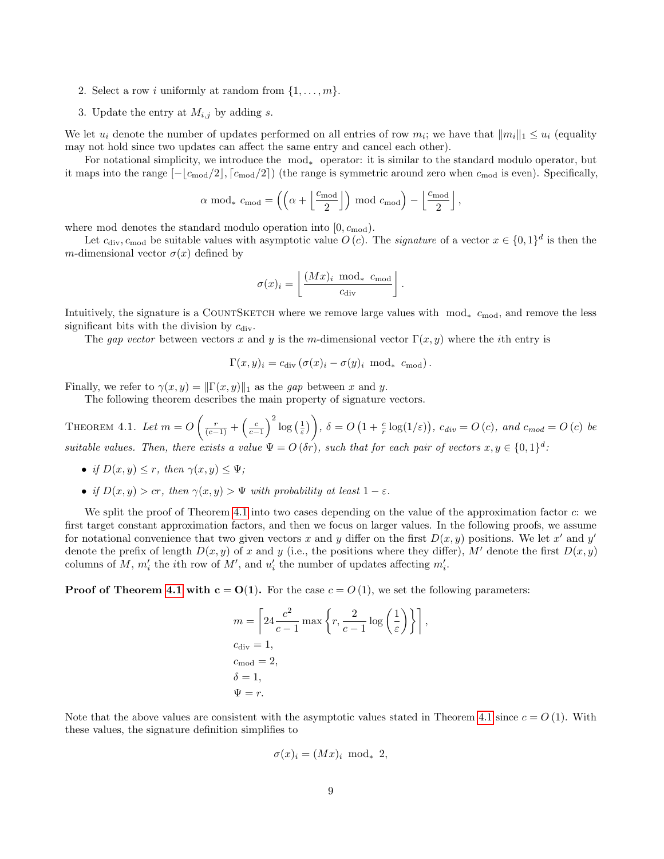- 2. Select a row i uniformly at random from  $\{1, \ldots, m\}$ .
- 3. Update the entry at  $M_{i,j}$  by adding s.

We let  $u_i$  denote the number of updates performed on all entries of row  $m_i$ ; we have that  $||m_i||_1 \leq u_i$  (equality may not hold since two updates can affect the same entry and cancel each other).

For notational simplicity, we introduce the mod<sup>∗</sup> operator: it is similar to the standard modulo operator, but it maps into the range  $[-\lfloor c_{\text{mod}}/2 \rfloor, \lceil c_{\text{mod}}/2 \rceil)$  (the range is symmetric around zero when  $c_{\text{mod}}$  is even). Specifically,

$$
\alpha \mod_* c_{\text{mod}} = \left( \left( \alpha + \left\lfloor \frac{c_{\text{mod}}}{2} \right\rfloor \right) \mod c_{\text{mod}} \right) - \left\lfloor \frac{c_{\text{mod}}}{2} \right\rfloor,
$$

where mod denotes the standard modulo operation into  $[0, c_{mod})$ .

Let  $c_{\text{div}}, c_{\text{mod}}$  be suitable values with asymptotic value  $O(c)$ . The *signature* of a vector  $x \in \{0,1\}^d$  is then the m-dimensional vector  $\sigma(x)$  defined by

$$
\sigma(x)_i = \left\lfloor \frac{(Mx)_i \mod \mathcal{E}_{\text{mod}}}{c_{\text{div}}} \right\rfloor.
$$

Intuitively, the signature is a COUNTSKETCH where we remove large values with  $mod_* c_{mod}$ , and remove the less significant bits with the division by  $c_{\text{div}}$ .

The gap vector between vectors x and y is the m-dimensional vector  $\Gamma(x, y)$  where the ith entry is

<span id="page-8-0"></span>
$$
\Gamma(x, y)_i = c_{\text{div}} \left( \sigma(x)_i - \sigma(y)_i \mod m \right).
$$

Finally, we refer to  $\gamma(x, y) = ||\Gamma(x, y)||_1$  as the gap between x and y.

The following theorem describes the main property of signature vectors.

THEOREM 4.1. Let  $m = O\left(\frac{r}{(c-1)} + \left(\frac{c}{c-1}\right)^2 \log\left(\frac{1}{\varepsilon}\right)\right), \ \delta = O\left(1 + \frac{c}{r} \log(1/\varepsilon)\right), \ c_{div} = O\left(c\right), \ and \ c_{mod} = O\left(c\right) \ be$ suitable values. Then, there exists a value  $\Psi = O(\delta r)$ , such that for each pair of vectors  $x, y \in \{0, 1\}^d$ .

- if  $D(x, y) \leq r$ , then  $\gamma(x, y) \leq \Psi$ ;
- if  $D(x, y) > cr$ , then  $\gamma(x, y) > \Psi$  with probability at least  $1 \varepsilon$ .

We split the proof of Theorem [4.1](#page-8-0) into two cases depending on the value of the approximation factor c: we first target constant approximation factors, and then we focus on larger values. In the following proofs, we assume for notational convenience that two given vectors x and y differ on the first  $D(x, y)$  positions. We let x' and y' denote the prefix of length  $D(x, y)$  of x and y (i.e., the positions where they differ), M' denote the first  $D(x, y)$ columns of M,  $m'_i$  the *i*<sup>th</sup> row of M', and  $u'_i$  the number of updates affecting  $m'_i$ .

**Proof of Theorem [4.1](#page-8-0) with c = O(1).** For the case  $c = O(1)$ , we set the following parameters:

$$
m = \left[24 \frac{c^2}{c-1} \max \left\{r, \frac{2}{c-1} \log \left(\frac{1}{\varepsilon}\right)\right\}\right],
$$
  
\n
$$
c_{\text{div}} = 1,
$$
  
\n
$$
c_{\text{mod}} = 2,
$$
  
\n
$$
\delta = 1,
$$
  
\n
$$
\Psi = r.
$$

Note that the above values are consistent with the asymptotic values stated in Theorem [4.1](#page-8-0) since  $c = O(1)$ . With these values, the signature definition simplifies to

$$
\sigma(x)_i = (Mx)_i \text{ mod}_* 2,
$$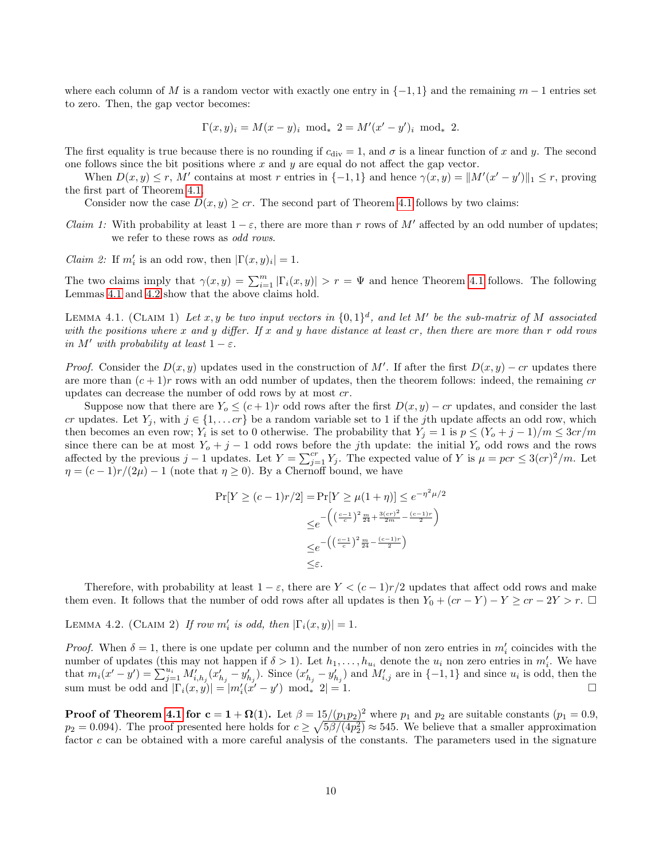where each column of M is a random vector with exactly one entry in  $\{-1,1\}$  and the remaining  $m-1$  entries set to zero. Then, the gap vector becomes:

$$
\Gamma(x,y)_i = M(x-y)_i \mod_* 2 = M'(x'-y')_i \mod_* 2.
$$

The first equality is true because there is no rounding if  $c_{\rm div} = 1$ , and  $\sigma$  is a linear function of x and y. The second one follows since the bit positions where  $x$  and  $y$  are equal do not affect the gap vector.

When  $D(x, y) \le r$ , M' contains at most r entries in  $\{-1, 1\}$  and hence  $\gamma(x, y) = ||M'(x' - y')||_1 \le r$ , proving the first part of Theorem [4.1.](#page-8-0)

Consider now the case  $D(x, y) \geq cr$ . The second part of Theorem [4.1](#page-8-0) follows by two claims:

Claim 1: With probability at least  $1 - \varepsilon$ , there are more than r rows of M' affected by an odd number of updates; we refer to these rows as odd rows.

*Claim 2:* If  $m'_i$  is an odd row, then  $|\Gamma(x, y)_i| = 1$ .

The two claims imply that  $\gamma(x,y) = \sum_{i=1}^{m} |\Gamma_i(x,y)| > r = \Psi$  and hence Theorem [4.1](#page-8-0) follows. The following Lemmas [4.1](#page-9-0) and [4.2](#page-9-1) show that the above claims hold.

<span id="page-9-0"></span>LEMMA 4.1. (CLAIM 1) Let x, y be two input vectors in  $\{0,1\}^d$ , and let M' be the sub-matrix of M associated with the positions where x and y differ. If x and y have distance at least  $cr$ , then there are more than  $r$  odd rows in M' with probability at least  $1 - \varepsilon$ .

*Proof.* Consider the  $D(x, y)$  updates used in the construction of M'. If after the first  $D(x, y) - cr$  updates there are more than  $(c+1)r$  rows with an odd number of updates, then the theorem follows: indeed, the remaining cr updates can decrease the number of odd rows by at most cr.

Suppose now that there are  $Y_o \le (c+1)r$  odd rows after the first  $D(x, y) - cr$  updates, and consider the last cr updates. Let  $Y_j$ , with  $j \in \{1, \ldots c\}$  be a random variable set to 1 if the jth update affects an odd row, which then becomes an even row;  $Y_i$  is set to 0 otherwise. The probability that  $Y_j = 1$  is  $p \le (Y_o + j - 1)/m \le 3cr/m$ since there can be at most  $Y_o + j - 1$  odd rows before the jth update: the initial  $Y_o$  odd rows and the rows affected by the previous j – 1 updates. Let  $Y = \sum_{j=1}^{cr} Y_j$ . The expected value of Y is  $\mu = pcr \leq 3 (cr)^2/m$ . Let  $\eta = (c-1)r/(2\mu) - 1$  (note that  $\eta \ge 0$ ). By a Chernoff bound, we have

$$
\Pr[Y \ge (c-1)r/2] = \Pr[Y \ge \mu(1+\eta)] \le e^{-\eta^2 \mu/2}
$$

$$
\le e^{-\left(\left(\frac{c-1}{c}\right)^2 \frac{m}{24} + \frac{3(cr)^2}{2m} - \frac{(c-1)r}{2}\right)}
$$

$$
\le e^{-\left(\left(\frac{c-1}{c}\right)^2 \frac{m}{24} - \frac{(c-1)r}{2}\right)}
$$

$$
\le \varepsilon.
$$

Therefore, with probability at least  $1 - \varepsilon$ , there are  $Y < (c - 1)r/2$  updates that affect odd rows and make them even. It follows that the number of odd rows after all updates is then  $Y_0 + (cr - Y) - Y \geq cr - 2Y > r$ .  $\Box$ 

<span id="page-9-1"></span>LEMMA 4.2. (CLAIM 2) If row  $m'_i$  is odd, then  $|\Gamma_i(x,y)| = 1$ .

*Proof.* When  $\delta = 1$ , there is one update per column and the number of non zero entries in  $m'_i$  coincides with the number of updates (this may not happen if  $\delta > 1$ ). Let  $h_1, \ldots, h_{u_i}$  denote the  $u_i$  non zero entries in  $m'_i$ . We have that  $m_i(x'-y') = \sum_{j=1}^{u_i} M'_{i,h_j}(x'_{h_j} - y'_{h_j})$ . Since  $(x'_{h_j} - y'_{h_j})$  and  $M'_{i,j}$  are in  $\{-1,1\}$  and since  $u_i$  is odd, then the sum must be odd and  $|\Gamma_i(x, y)| = |m'_i(x'-y') \mod i|2| = 1.$ 

**Proof of Theorem [4.1](#page-8-0) for**  $c = 1 + \Omega(1)$ **.** Let  $\beta = 15/(p_1p_2)^2$  where  $p_1$  and  $p_2$  are suitable constants  $(p_1 = 0.9,$  $p_2 = 0.094$ ). The proof presented here holds for  $c \geq \sqrt{5\beta/(4p_2^2)} \approx 545$ . We believe that a smaller approximation factor c can be obtained with a more careful analysis of the constants. The parameters used in the signature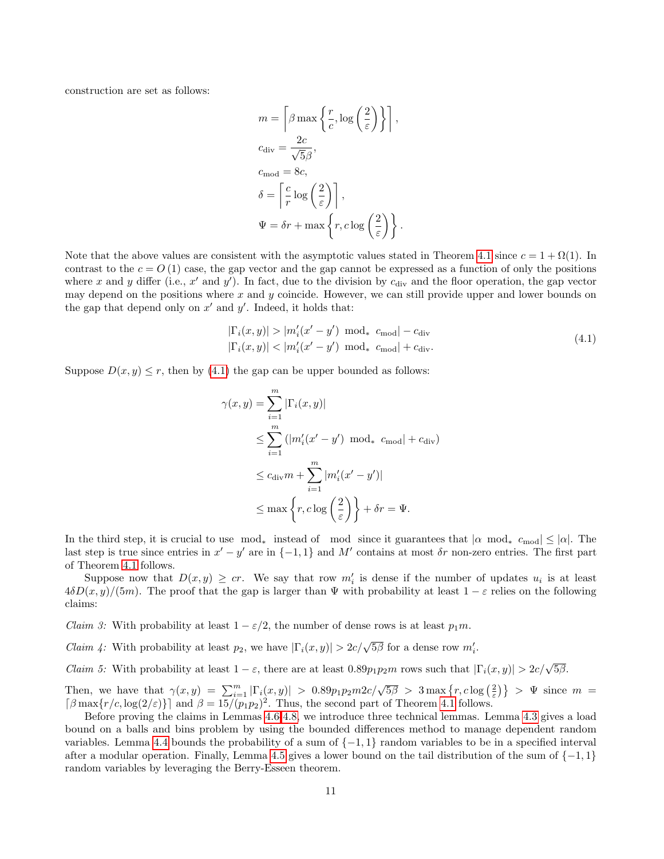construction are set as follows:

$$
m = \left\lceil \beta \max\left\{ \frac{r}{c}, \log\left(\frac{2}{\varepsilon}\right) \right\} \right\rceil,
$$
  
\n
$$
c_{\text{div}} = \frac{2c}{\sqrt{5}\beta},
$$
  
\n
$$
c_{\text{mod}} = 8c,
$$
  
\n
$$
\delta = \left\lceil \frac{c}{r} \log\left(\frac{2}{\varepsilon}\right) \right\rceil,
$$
  
\n
$$
\Psi = \delta r + \max\left\{r, c \log\left(\frac{2}{\varepsilon}\right)\right\}.
$$

Note that the above values are consistent with the asymptotic values stated in Theorem [4.1](#page-8-0) since  $c = 1 + \Omega(1)$ . In contrast to the  $c = O(1)$  case, the gap vector and the gap cannot be expressed as a function of only the positions where x and y differ (i.e.,  $x'$  and  $y'$ ). In fact, due to the division by  $c_{\text{div}}$  and the floor operation, the gap vector may depend on the positions where x and  $y$  coincide. However, we can still provide upper and lower bounds on the gap that depend only on  $x'$  and  $y'$ . Indeed, it holds that:

<span id="page-10-0"></span>
$$
|\Gamma_i(x, y)| > |m_i'(x' - y') \mod * c_{\text{mod}}| - c_{\text{div}}
$$
  

$$
|\Gamma_i(x, y)| < |m_i'(x' - y') \mod * c_{\text{mod}}| + c_{\text{div}}.
$$
  
(4.1)

Suppose  $D(x, y) \leq r$ , then by [\(4.1\)](#page-10-0) the gap can be upper bounded as follows:

$$
\gamma(x, y) = \sum_{i=1}^{m} |\Gamma_i(x, y)|
$$
  
\n
$$
\leq \sum_{i=1}^{m} (|m'_i(x' - y') \mod * c_{\text{mod}}| + c_{\text{div}})
$$
  
\n
$$
\leq c_{\text{div}} m + \sum_{i=1}^{m} |m'_i(x' - y')|
$$
  
\n
$$
\leq \max \left\{ r, c \log \left( \frac{2}{\varepsilon} \right) \right\} + \delta r = \Psi.
$$

In the third step, it is crucial to use  $mod_*$  instead of mod since it guarantees that  $|\alpha| \mod * c_{mod}| \leq |\alpha|$ . The last step is true since entries in  $x' - y'$  are in  $\{-1, 1\}$  and M' contains at most  $\delta r$  non-zero entries. The first part of Theorem [4.1](#page-8-0) follows.

Suppose now that  $D(x, y) \geq cr$ . We say that row  $m'_i$  is dense if the number of updates  $u_i$  is at least  $4\delta D(x, y)/(5m)$ . The proof that the gap is larger than  $\Psi$  with probability at least  $1 - \varepsilon$  relies on the following claims:

*Claim 3:* With probability at least  $1 - \varepsilon/2$ , the number of dense rows is at least  $p_1m$ .

*Claim 4:* With probability at least  $p_2$ , we have  $|\Gamma_i(x, y)| > 2c/\sqrt{5\beta}$  for a dense row  $m'_i$ .

*Claim 5:* With probability at least  $1 - \varepsilon$ , there are at least  $0.89p_1p_2m$  rows such that  $|\Gamma_i(x, y)| > 2c/\sqrt{5\beta}$ .

Then, we have that  $\gamma(x,y) = \sum_{i=1}^m |\Gamma_i(x,y)| > 0.89p_1p_2m2c/\sqrt{5\beta} > 3 \max\{r, c \log(\frac{2}{\varepsilon})\} > \Psi$  since  $m =$  $\lceil \beta \max\{r/c, \log(2/\varepsilon)\}\rceil$  and  $\beta = 15/(p_1p_2)^2$ . Thus, the second part of Theorem [4.1](#page-8-0) follows.

<span id="page-10-1"></span>Before proving the claims in Lemmas [4.6-](#page-13-0)[4.8,](#page-13-1) we introduce three technical lemmas. Lemma [4.3](#page-10-1) gives a load bound on a balls and bins problem by using the bounded differences method to manage dependent random variables. Lemma [4.4](#page-11-0) bounds the probability of a sum of {−1, 1} random variables to be in a specified interval after a modular operation. Finally, Lemma [4.5](#page-12-0) gives a lower bound on the tail distribution of the sum of  $\{-1, 1\}$ random variables by leveraging the Berry-Esseen theorem.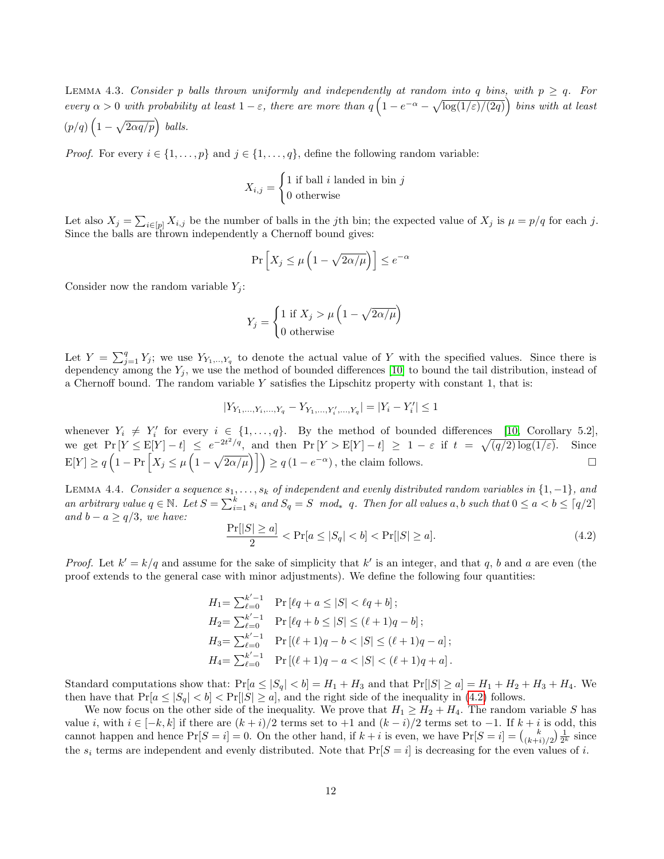LEMMA 4.3. Consider p balls thrown uniformly and independently at random into q bins, with  $p \geq q$ . For every  $\alpha > 0$  with probability at least  $1 - \varepsilon$ , there are more than  $q\left(1 - e^{-\alpha} - \sqrt{\log(1/\varepsilon)/(2q)}\right)$  bins with at least  $(p/q)\left(1-\sqrt{2\alpha q/p}\right)$  balls.

*Proof.* For every  $i \in \{1, ..., p\}$  and  $j \in \{1, ..., q\}$ , define the following random variable:

$$
X_{i,j} = \begin{cases} 1 \text{ if ball } i \text{ landed in bin } j \\ 0 \text{ otherwise} \end{cases}
$$

Let also  $X_j = \sum_{i \in [p]} X_{i,j}$  be the number of balls in the jth bin; the expected value of  $X_j$  is  $\mu = p/q$  for each j. Since the balls are thrown independently a Chernoff bound gives:

$$
\Pr\left[X_j \le \mu\left(1 - \sqrt{2\alpha/\mu}\right)\right] \le e^{-\alpha}
$$

Consider now the random variable  $Y_i$ :

$$
Y_j = \begin{cases} 1 \text{ if } X_j > \mu \left( 1 - \sqrt{2\alpha/\mu} \right) \\ 0 \text{ otherwise} \end{cases}
$$

Let  $Y = \sum_{j=1}^q Y_j$ ; we use  $Y_{Y_1, \dots, Y_q}$  to denote the actual value of Y with the specified values. Since there is dependency among the  $Y_i$ , we use the method of bounded differences [\[10\]](#page-15-15) to bound the tail distribution, instead of a Chernoff bound. The random variable Y satisfies the Lipschitz property with constant 1, that is:

$$
|Y_{Y_1,...,Y_i,...,Y_q}-Y_{Y_1,...,Y'_i,...,Y_q}|=|Y_i-Y'_i|\leq 1
$$

whenever  $Y_i \neq Y'_i$  for every  $i \in \{1, ..., q\}$ . By the method of bounded differences [\[10,](#page-15-15) Corollary 5.2], we get  $Pr[Y \le E[Y] - t] \le e^{-2t^2/q}$ , and then  $Pr[Y > E[Y] - t] \ge 1 - \varepsilon$  if  $t = \sqrt{(q/2) \log(1/\varepsilon)}$ . Since  $E[Y] \ge q \left(1 - \Pr\left[X_j \le \mu\left(1 - \sqrt{2\alpha/\mu}\right)\right]\right) \ge q(1 - e^{-\alpha})$ , the claim follows.

<span id="page-11-0"></span>LEMMA 4.4. Consider a sequence  $s_1, \ldots, s_k$  of independent and evenly distributed random variables in  $\{1, -1\}$ , and an arbitrary value  $q \in \mathbb{N}$ . Let  $S = \sum_{i=1}^{k} s_i$  and  $S_q = S \mod* q$ . Then for all values a, b such that  $0 \le a < b \le \lceil q/2 \rceil$ and  $b - a \geq q/3$ , we have:

<span id="page-11-1"></span>
$$
\frac{\Pr[|S| \ge a]}{2} < \Pr[a \le |S_q| < b] < \Pr[|S| \ge a].\tag{4.2}
$$

*Proof.* Let  $k' = k/q$  and assume for the sake of simplicity that k' is an integer, and that q, b and a are even (the proof extends to the general case with minor adjustments). We define the following four quantities:

$$
H_1 = \sum_{\ell=0}^{k'-1} \Pr [\ell q + a \le |S| < \ell q + b];
$$
\n
$$
H_2 = \sum_{\ell=0}^{k'-1} \Pr [\ell q + b \le |S| \le (\ell+1)q - b];
$$
\n
$$
H_3 = \sum_{\ell=0}^{k'-1} \Pr [(\ell+1)q - b < |S| \le (\ell+1)q - a];
$$
\n
$$
H_4 = \sum_{\ell=0}^{k'-1} \Pr [(\ell+1)q - a < |S| < (\ell+1)q + a].
$$

Standard computations show that:  $Pr[a \leq |S_q| < b] = H_1 + H_3$  and that  $Pr[|S| \geq a] = H_1 + H_2 + H_3 + H_4$ . We then have that  $Pr[a \leq |S_q| < b] < Pr[|S| \geq a]$ , and the right side of the inequality in [\(4.2\)](#page-11-1) follows.

We now focus on the other side of the inequality. We prove that  $H_1 \geq H_2 + H_4$ . The random variable S has value i, with  $i \in [-k, k]$  if there are  $(k + i)/2$  terms set to  $+1$  and  $(k - i)/2$  terms set to  $-1$ . If  $k + i$  is odd, this cannot happen and hence  $Pr[S = i] = 0$ . On the other hand, if  $k + i$  is even, we have  $Pr[S = i] = {k \choose (k+i)/2} \frac{1}{2^k}$  since the  $s_i$  terms are independent and evenly distributed. Note that  $Pr[S = i]$  is decreasing for the even values of i.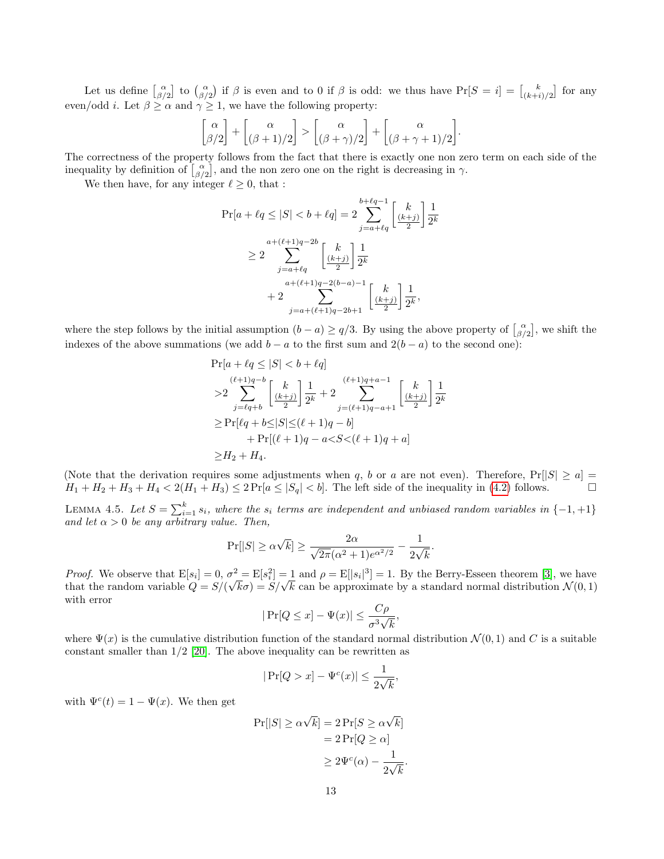Let us define  $\begin{bmatrix} \alpha \\ \beta/2 \end{bmatrix}$  to  $\begin{bmatrix} \alpha \\ \beta/2 \end{bmatrix}$  if  $\beta$  is even and to 0 if  $\beta$  is odd: we thus have  $Pr[S = i] = \begin{bmatrix} k \\ (k+i)/2 \end{bmatrix}$  for any even/odd *i*. Let  $\beta \ge \alpha$  and  $\gamma \ge 1$ , we have the following property:

$$
\begin{bmatrix} \alpha \\ \beta/2 \end{bmatrix} + \begin{bmatrix} \alpha \\ (\beta+1)/2 \end{bmatrix} > \begin{bmatrix} \alpha \\ (\beta+\gamma)/2 \end{bmatrix} + \begin{bmatrix} \alpha \\ (\beta+\gamma+1)/2 \end{bmatrix}.
$$

The correctness of the property follows from the fact that there is exactly one non zero term on each side of the inequality by definition of  $\begin{bmatrix} \alpha \\ \beta/2 \end{bmatrix}$ , and the non zero one on the right is decreasing in  $\gamma$ .

We then have, for any integer  $\ell \geq 0,$  that :

$$
\Pr[a + \ell q \le |S| < b + \ell q] = 2 \sum_{j=a+\ell q}^{b+\ell q-1} \left[ \frac{k}{\frac{(k+j)}{2}} \right] \frac{1}{2^k}
$$
\n
$$
\ge 2 \sum_{j=a+\ell q}^{a+(\ell+1)q-2b} \left[ \frac{k}{\frac{(k+j)}{2}} \right] \frac{1}{2^k}
$$
\n
$$
+ 2 \sum_{j=a+(\ell+1)q-2(b-a)-1}^{a+(\ell+1)q-2(b-a)-1} \left[ \frac{k}{\frac{(k+j)}{2}} \right] \frac{1}{2^k},
$$

where the step follows by the initial assumption  $(b - a) \ge q/3$ . By using the above property of  $\begin{bmatrix} \alpha \\ \beta/2 \end{bmatrix}$ , we shift the indexes of the above summations (we add  $b - a$  to the first sum and  $2(b - a)$  to the second one):

$$
\Pr[a + \ell q \le |S| < b + \ell q] \\
> 2 \sum_{j=\ell q+b}^{(\ell+1)q-b} \left[ \frac{k}{\frac{k+j}{2}} \right] \frac{1}{2^k} + 2 \sum_{j=(\ell+1)q-a+1}^{(\ell+1)q+a-1} \left[ \frac{k}{2^k} \right] \frac{1}{2^k} \\
> \Pr[\ell q + b \le |S| \le (\ell+1)q-b] \\
> \Pr[(\ell+1)q - a < S < (\ell+1)q+a] \\
> H_2 + H_4.
$$

(Note that the derivation requires some adjustments when q, b or a are not even). Therefore,  $Pr[|S| \ge a]$  =  $H_1 + H_2 + H_3 + H_4 < 2(H_1 + H_3) \le 2 \Pr[a \le |S_q| < b].$  The left side of the inequality in [\(4.2\)](#page-11-1) follows.

<span id="page-12-0"></span>LEMMA 4.5. Let  $S = \sum_{i=1}^{k} s_i$ , where the  $s_i$  terms are independent and unbiased random variables in  $\{-1, +1\}$ and let  $\alpha > 0$  be any arbitrary value. Then,

$$
\Pr[|S| \geq \alpha \sqrt{k}] \geq \frac{2\alpha}{\sqrt{2\pi}(\alpha^2 + 1)e^{\alpha^2/2}} - \frac{1}{2\sqrt{k}}.
$$

*Proof.* We observe that  $E[s_i] = 0$ ,  $\sigma^2 = E[s_i^2] = 1$  and  $\rho = E[|s_i|^3] = 1$ . By the Berry-Esseen theorem [\[3\]](#page-15-16), we have that the random variable  $Q = S/(\frac{1}{\sqrt{2}})$  $\sigma^2 = E[s_i^2] = 1$  and  $\rho = E[|s_i|^2] = 1$ . By the Berry-Esseen theorem [3], we have  $\sqrt{k}\sigma$  =  $S/\sqrt{k}$  can be approximate by a standard normal distribution  $\mathcal{N}(0,1)$ with error

$$
|\Pr[Q \le x] - \Psi(x)| \le \frac{C\rho}{\sigma^3 \sqrt{k}},
$$

where  $\Psi(x)$  is the cumulative distribution function of the standard normal distribution  $\mathcal{N}(0,1)$  and C is a suitable constant smaller than 1/2 [\[20\]](#page-15-17). The above inequality can be rewritten as

$$
|\Pr[Q > x] - \Psi^c(x)| \le \frac{1}{2\sqrt{k}},
$$

with  $\Psi^c(t) = 1 - \Psi(x)$ . We then get

$$
Pr[|S| \ge \alpha \sqrt{k}] = 2 Pr[S \ge \alpha \sqrt{k}]
$$

$$
= 2 Pr[Q \ge \alpha]
$$

$$
\ge 2\Psi^{c}(\alpha) - \frac{1}{2\sqrt{k}}.
$$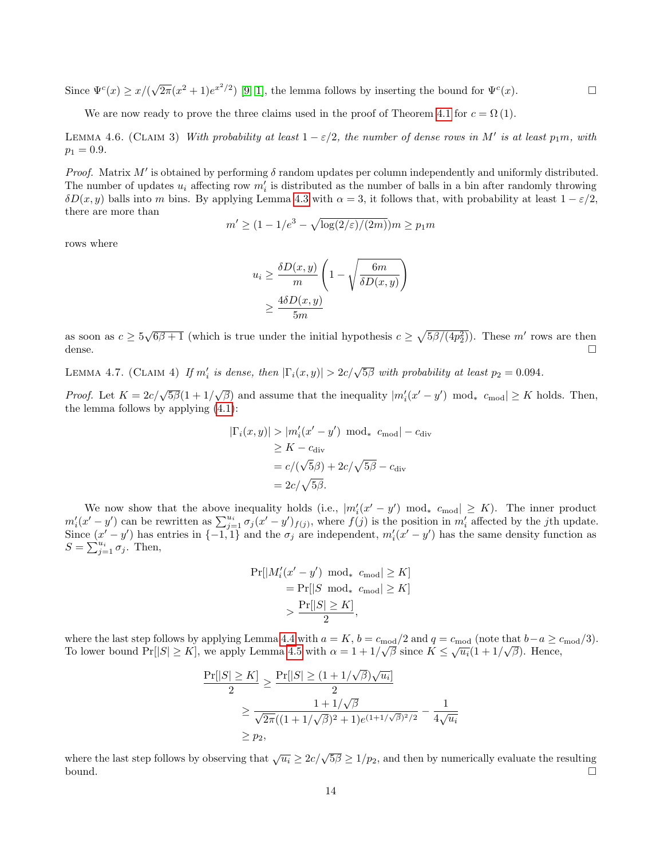Since  $\Psi^c(x) \geq x/6$ √  $\overline{2\pi}(x^2+1)e^{x^2/2})$  [\[9,](#page-15-18) [1\]](#page-15-19), the lemma follows by inserting the bound for  $\Psi^c(x)$ .

We are now ready to prove the three claims used in the proof of Theorem [4.1](#page-8-0) for  $c = \Omega(1)$ .

<span id="page-13-0"></span>LEMMA 4.6. (CLAIM 3) With probability at least  $1 - \varepsilon/2$ , the number of dense rows in M' is at least  $p_1m$ , with  $p_1 = 0.9.$ 

Proof. Matrix  $M'$  is obtained by performing  $\delta$  random updates per column independently and uniformly distributed. The number of updates  $u_i$  affecting row  $m'_i$  is distributed as the number of balls in a bin after randomly throwing  $\delta D(x, y)$  balls into m bins. By applying Lemma [4.3](#page-10-1) with  $\alpha = 3$ , it follows that, with probability at least  $1 - \varepsilon/2$ , there are more than

$$
m' \ge (1 - 1/e^3 - \sqrt{\log(2/\varepsilon)/(2m)})m \ge p_1 m
$$

rows where

$$
u_i \ge \frac{\delta D(x, y)}{m} \left( 1 - \sqrt{\frac{6m}{\delta D(x, y)}} \right)
$$

$$
\ge \frac{4\delta D(x, y)}{5m}
$$

as soon as  $c \ge 5\sqrt{6\beta+1}$  (which is true under the initial hypothesis  $c \ge \sqrt{5\beta/(4p_2^2)}$ ). These m' rows are then dense.  $\Box$ 

<span id="page-13-2"></span>LEMMA 4.7. (CLAIM 4) If  $m'_i$  is dense, then  $|\Gamma_i(x,y)| > 2c/\sqrt{5\beta}$  with probability at least  $p_2 = 0.094$ .

*Proof.* Let  $K = 2c/\sqrt{5\beta}(1 + 1/\sqrt{\beta})$  and assume that the inequality  $|m'_i(x'-y') \mod * c_{mod}| \geq K$  holds. Then, the lemma follows by applying [\(4.1\)](#page-10-0):

$$
|\Gamma_i(x, y)| > |m_i'(x' - y') \mod_* c_{\text{mod}}| - c_{\text{div}}
$$
  
\n
$$
\ge K - c_{\text{div}}
$$
  
\n
$$
= c/(\sqrt{5}\beta) + 2c/\sqrt{5}\beta - c_{\text{div}}
$$
  
\n
$$
= 2c/\sqrt{5}\beta.
$$

We now show that the above inequality holds (i.e.,  $|m'_{i}(x'-y') \mod * c_{\text{mod}}| \geq K$ ). The inner product  $m'_i(x'-y')$  can be rewritten as  $\sum_{j=1}^{u_i} \sigma_j(x'-y')_{f(j)}$ , where  $f(j)$  is the position in  $m'_i$  affected by the jth update. Since  $(x'-y')$  has entries in  $\{-1,1\}$  and the  $\sigma_j$  are independent,  $m_i'(x'-y')$  has the same density function as  $S = \sum_{j=1}^{u_i} \sigma_j$ . Then,

$$
\Pr[|M_i'(x'-y') \mod* c_{\text{mod}}| \ge K]
$$
  
= 
$$
\Pr[|S \mod* c_{\text{mod}}| \ge K]
$$
  
> 
$$
\frac{\Pr[|S| \ge K]}{2},
$$

where the last step follows by applying Lemma [4.4](#page-11-0) with  $a = K$ ,  $b = c_{\text{mod}}/2$  and  $q = c_{\text{mod}}$  (note that  $b-a \geq c_{\text{mod}}/3$ ). To lower bound Pr[ $|S| \ge K$ ], we apply Lemma [4.5](#page-12-0) with  $\alpha = 1 + 1/\sqrt{\beta}$  since  $K \le \sqrt{u_i}(1 + 1/\sqrt{\beta})$ . Hence,

$$
\frac{\Pr[|S| \ge K]}{2} \ge \frac{\Pr[|S| \ge (1 + 1/\sqrt{\beta})\sqrt{u_i}]}{2}
$$

$$
\ge \frac{1 + 1/\sqrt{\beta}}{\sqrt{2\pi}((1 + 1/\sqrt{\beta})^2 + 1)e^{(1 + 1/\sqrt{\beta})^2/2}} - \frac{1}{4\sqrt{u_i}}
$$

$$
\ge p_2,
$$

<span id="page-13-1"></span>where the last step follows by observing that  $\sqrt{u_i} \ge 2c/\sqrt{5\beta} \ge 1/p_2$ , and then by numerically evaluate the resulting bound.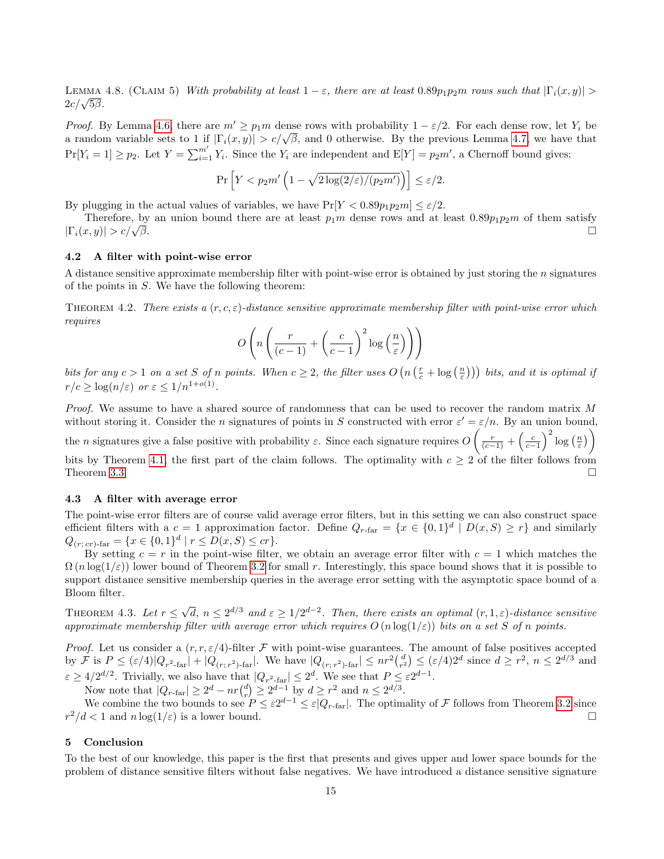LEMMA 4.8. (CLAIM 5) With probability at least  $1 - \varepsilon$ , there are at least  $0.89p_1p_2m$  rows such that  $|\Gamma_i(x, y)| >$ ъ́вмма<br>2*c/√5β.* 

*Proof.* By Lemma [4.6,](#page-13-0) there are  $m' \geq p_1 m$  dense rows with probability  $1 - \varepsilon/2$ . For each dense row, let  $Y_i$  be *rroof.* By Lemma 4.0, there are  $m \ge p_1 m$  dense rows with probability  $1 - \varepsilon/2$ . For each dense row, let  $\overline{r}_i$  be a random variable sets to 1 if  $|\Gamma_i(x, y)| > c/\sqrt{\beta}$ , and 0 otherwise. By the previous Lemma [4.7,](#page-13-2) we have  $Pr[Y_i = 1] \ge p_2$ . Let  $Y = \sum_{i=1}^{m'} Y_i$ . Since the  $Y_i$  are independent and  $E[Y] = p_2 m'$ , a Chernoff bound gives:

$$
\Pr\left[Y < p_2 m'\left(1 - \sqrt{2\log(2/\varepsilon)/(p_2 m')}\right)\right] \le \varepsilon/2.
$$

By plugging in the actual values of variables, we have  $Pr[Y < 0.89p_1p_2m] < \varepsilon/2$ .

Therefore, by an union bound there are at least  $p_1m$  dense rows and at least  $0.89p_1p_2m$  of them satisfy  $|\Gamma_i(x, y)| > c/\sqrt{\beta}.$  $\overline{\beta}$ .

## <span id="page-14-0"></span>4.2 A filter with point-wise error

A distance sensitive approximate membership filter with point-wise error is obtained by just storing the n signatures of the points in S. We have the following theorem:

THEOREM 4.2. There exists a  $(r, c, \varepsilon)$ -distance sensitive approximate membership filter with point-wise error which requires

$$
O\left(n\left(\frac{r}{(c-1)} + \left(\frac{c}{c-1}\right)^2 \log\left(\frac{n}{\varepsilon}\right)\right)\right)
$$

bits for any  $c > 1$  on a set S of n points. When  $c \geq 2$ , the filter uses  $O(n\left(\frac{r}{c} + \log\left(\frac{n}{\varepsilon}\right)\right))$  bits, and it is optimal if  $r/c \geq \log(n/\varepsilon)$  or  $\varepsilon \leq 1/n^{1+o(1)}$ .

Proof. We assume to have a shared source of randomness that can be used to recover the random matrix M without storing it. Consider the n signatures of points in S constructed with error  $\varepsilon' = \varepsilon/n$ . By an union bound,

the *n* signatures give a false positive with probability  $\varepsilon$ . Since each signature requires  $O\left(\frac{r}{(c-1)} + \left(\frac{c}{c-1}\right)^2 \log\left(\frac{n}{\varepsilon}\right)\right)$ 

bits by Theorem [4.1,](#page-8-0) the first part of the claim follows. The optimality with  $c \geq 2$  of the filter follows from Theorem [3.3.](#page-5-0)

#### <span id="page-14-1"></span>4.3 A filter with average error

The point-wise error filters are of course valid average error filters, but in this setting we can also construct space efficient filters with a  $c = 1$  approximation factor. Define  $Q_{r-\text{far}} = \{x \in \{0,1\}^d \mid D(x, S) \geq r\}$  and similarly  $Q_{(r; cr) \text{-far}} = \{x \in \{0, 1\}^d \mid r \leq D(x, S) \leq cr\}.$ 

By setting  $c = r$  in the point-wise filter, we obtain an average error filter with  $c = 1$  which matches the  $\Omega(n \log(1/\varepsilon))$  lower bound of Theorem [3.2](#page-3-0) for small r. Interestingly, this space bound shows that it is possible to support distance sensitive membership queries in the average error setting with the asymptotic space bound of a Bloom filter.

THEOREM 4.3. Let  $r \leq \sqrt{ }$  $\overline{d}, n \leq 2^{d/3}$  and  $\varepsilon \geq 1/2^{d-2}$ . Then, there exists an optimal  $(r, 1, \varepsilon)$ -distance sensitive approximate membership filter with average error which requires  $O(n \log(1/\varepsilon))$  bits on a set S of n points.

Proof. Let us consider a  $(r, r, \varepsilon/4)$ -filter F with point-wise guarantees. The amount of false positives accepted by  $\mathcal{F}$  is  $P \leq (\varepsilon/4)|Q_{r^2-\text{far}}| + |Q_{(r;r^2)-\text{far}}|$ . We have  $|Q_{(r;r^2)-\text{far}}| \leq nr^2 {d \choose r^2} \leq (\varepsilon/4)2^d$  since  $d \geq r^2$ ,  $n \leq 2^{d/3}$  and  $\varepsilon \ge 4/2^{d/2}$ . Trivially, we also have that  $|Q_{r^2\text{-far}}| \le 2^d$ . We see that  $P \le \varepsilon 2^{d-1}$ .

Now note that  $|Q_{r-\text{far}}| \ge 2^d - nr\binom{d}{r} \ge 2^{d-1}$  by  $d \ge r^2$  and  $n \le 2^{d/3}$ .

We combine the two bounds to see  $P \leq \varepsilon 2^{d-1} \leq \varepsilon |Q_{r-\text{far}}|$ . The optimality of F follows from Theorem [3.2](#page-3-0) since  $r^2/d < 1$  and  $n \log(1/\varepsilon)$  is a lower bound.

# 5 Conclusion

To the best of our knowledge, this paper is the first that presents and gives upper and lower space bounds for the problem of distance sensitive filters without false negatives. We have introduced a distance sensitive signature